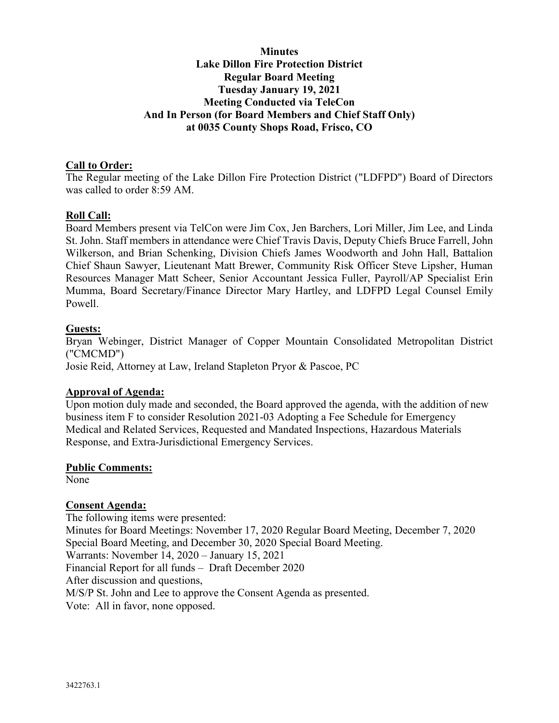# **Minutes Lake Dillon Fire Protection District Regular Board Meeting Tuesday January 19, 2021 Meeting Conducted via TeleCon And In Person (for Board Members and Chief Staff Only) at 0035 County Shops Road, Frisco, CO**

### **Call to Order:**

The Regular meeting of the Lake Dillon Fire Protection District ("LDFPD") Board of Directors was called to order 8:59 AM.

### **Roll Call:**

Board Members present via TelCon were Jim Cox, Jen Barchers, Lori Miller, Jim Lee, and Linda St. John. Staff members in attendance were Chief Travis Davis, Deputy Chiefs Bruce Farrell, John Wilkerson, and Brian Schenking, Division Chiefs James Woodworth and John Hall, Battalion Chief Shaun Sawyer, Lieutenant Matt Brewer, Community Risk Officer Steve Lipsher, Human Resources Manager Matt Scheer, Senior Accountant Jessica Fuller, Payroll/AP Specialist Erin Mumma, Board Secretary/Finance Director Mary Hartley, and LDFPD Legal Counsel Emily Powell.

#### **Guests:**

Bryan Webinger, District Manager of Copper Mountain Consolidated Metropolitan District ("CMCMD")

Josie Reid, Attorney at Law, Ireland Stapleton Pryor & Pascoe, PC

#### **Approval of Agenda:**

Upon motion duly made and seconded, the Board approved the agenda, with the addition of new business item F to consider Resolution 2021-03 Adopting a Fee Schedule for Emergency Medical and Related Services, Requested and Mandated Inspections, Hazardous Materials Response, and Extra-Jurisdictional Emergency Services.

#### **Public Comments:**

None

### **Consent Agenda:**

The following items were presented: Minutes for Board Meetings: November 17, 2020 Regular Board Meeting, December 7, 2020 Special Board Meeting, and December 30, 2020 Special Board Meeting. Warrants: November 14, 2020 – January 15, 2021 Financial Report for all funds – Draft December 2020 After discussion and questions, M/S/P St. John and Lee to approve the Consent Agenda as presented. Vote: All in favor, none opposed.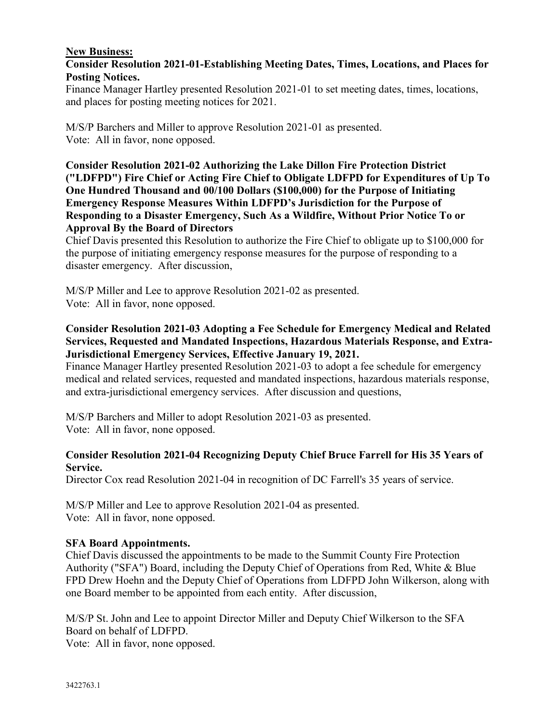# **New Business:**

# **Consider Resolution 2021-01-Establishing Meeting Dates, Times, Locations, and Places for Posting Notices.**

Finance Manager Hartley presented Resolution 2021-01 to set meeting dates, times, locations, and places for posting meeting notices for 2021.

M/S/P Barchers and Miller to approve Resolution 2021-01 as presented. Vote: All in favor, none opposed.

**Consider Resolution 2021-02 Authorizing the Lake Dillon Fire Protection District ("LDFPD") Fire Chief or Acting Fire Chief to Obligate LDFPD for Expenditures of Up To One Hundred Thousand and 00/100 Dollars (\$100,000) for the Purpose of Initiating Emergency Response Measures Within LDFPD's Jurisdiction for the Purpose of Responding to a Disaster Emergency, Such As a Wildfire, Without Prior Notice To or Approval By the Board of Directors** 

Chief Davis presented this Resolution to authorize the Fire Chief to obligate up to \$100,000 for the purpose of initiating emergency response measures for the purpose of responding to a disaster emergency. After discussion,

M/S/P Miller and Lee to approve Resolution 2021-02 as presented. Vote: All in favor, none opposed.

# **Consider Resolution 2021-03 Adopting a Fee Schedule for Emergency Medical and Related Services, Requested and Mandated Inspections, Hazardous Materials Response, and Extra-Jurisdictional Emergency Services, Effective January 19, 2021.**

Finance Manager Hartley presented Resolution 2021-03 to adopt a fee schedule for emergency medical and related services, requested and mandated inspections, hazardous materials response, and extra-jurisdictional emergency services. After discussion and questions,

M/S/P Barchers and Miller to adopt Resolution 2021-03 as presented. Vote: All in favor, none opposed.

# **Consider Resolution 2021-04 Recognizing Deputy Chief Bruce Farrell for His 35 Years of Service.**

Director Cox read Resolution 2021-04 in recognition of DC Farrell's 35 years of service.

M/S/P Miller and Lee to approve Resolution 2021-04 as presented. Vote: All in favor, none opposed.

### **SFA Board Appointments.**

Chief Davis discussed the appointments to be made to the Summit County Fire Protection Authority ("SFA") Board, including the Deputy Chief of Operations from Red, White & Blue FPD Drew Hoehn and the Deputy Chief of Operations from LDFPD John Wilkerson, along with one Board member to be appointed from each entity. After discussion,

M/S/P St. John and Lee to appoint Director Miller and Deputy Chief Wilkerson to the SFA Board on behalf of LDFPD.

Vote: All in favor, none opposed.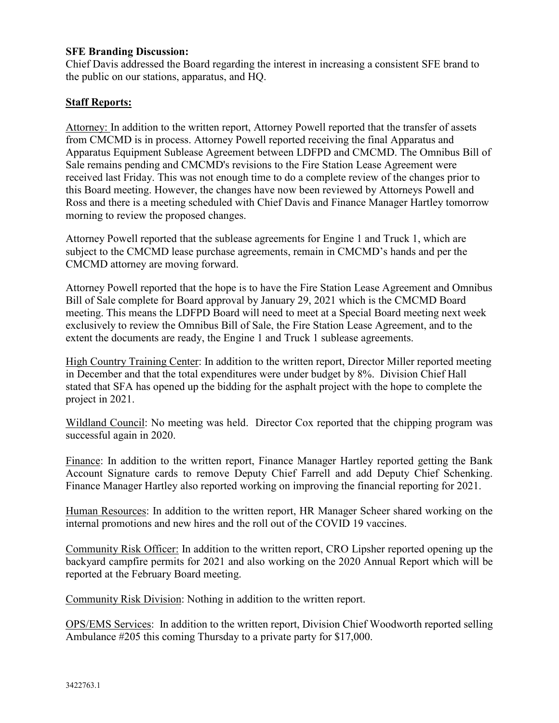### **SFE Branding Discussion:**

Chief Davis addressed the Board regarding the interest in increasing a consistent SFE brand to the public on our stations, apparatus, and HQ.

### **Staff Reports:**

Attorney: In addition to the written report, Attorney Powell reported that the transfer of assets from CMCMD is in process. Attorney Powell reported receiving the final Apparatus and Apparatus Equipment Sublease Agreement between LDFPD and CMCMD. The Omnibus Bill of Sale remains pending and CMCMD's revisions to the Fire Station Lease Agreement were received last Friday. This was not enough time to do a complete review of the changes prior to this Board meeting. However, the changes have now been reviewed by Attorneys Powell and Ross and there is a meeting scheduled with Chief Davis and Finance Manager Hartley tomorrow morning to review the proposed changes.

Attorney Powell reported that the sublease agreements for Engine 1 and Truck 1, which are subject to the CMCMD lease purchase agreements, remain in CMCMD's hands and per the CMCMD attorney are moving forward.

Attorney Powell reported that the hope is to have the Fire Station Lease Agreement and Omnibus Bill of Sale complete for Board approval by January 29, 2021 which is the CMCMD Board meeting. This means the LDFPD Board will need to meet at a Special Board meeting next week exclusively to review the Omnibus Bill of Sale, the Fire Station Lease Agreement, and to the extent the documents are ready, the Engine 1 and Truck 1 sublease agreements.

High Country Training Center: In addition to the written report, Director Miller reported meeting in December and that the total expenditures were under budget by 8%. Division Chief Hall stated that SFA has opened up the bidding for the asphalt project with the hope to complete the project in 2021.

Wildland Council: No meeting was held. Director Cox reported that the chipping program was successful again in 2020.

Finance: In addition to the written report, Finance Manager Hartley reported getting the Bank Account Signature cards to remove Deputy Chief Farrell and add Deputy Chief Schenking. Finance Manager Hartley also reported working on improving the financial reporting for 2021.

Human Resources: In addition to the written report, HR Manager Scheer shared working on the internal promotions and new hires and the roll out of the COVID 19 vaccines.

Community Risk Officer: In addition to the written report, CRO Lipsher reported opening up the backyard campfire permits for 2021 and also working on the 2020 Annual Report which will be reported at the February Board meeting.

Community Risk Division: Nothing in addition to the written report.

OPS/EMS Services: In addition to the written report, Division Chief Woodworth reported selling Ambulance #205 this coming Thursday to a private party for \$17,000.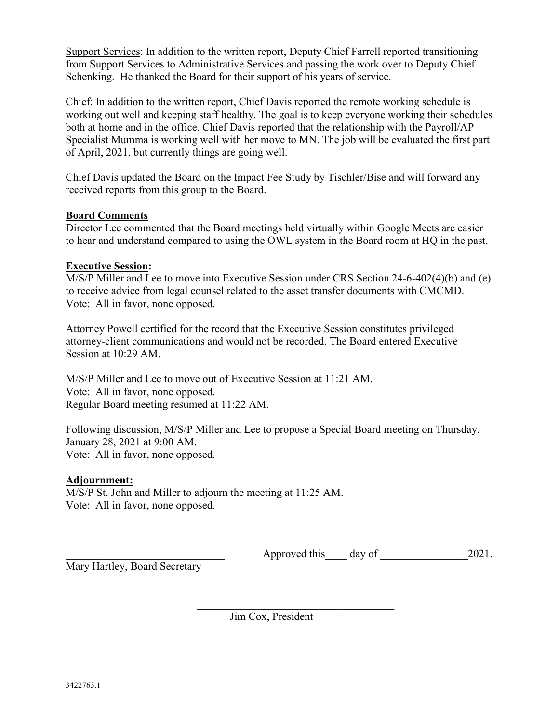Support Services: In addition to the written report, Deputy Chief Farrell reported transitioning from Support Services to Administrative Services and passing the work over to Deputy Chief Schenking. He thanked the Board for their support of his years of service.

Chief: In addition to the written report, Chief Davis reported the remote working schedule is working out well and keeping staff healthy. The goal is to keep everyone working their schedules both at home and in the office. Chief Davis reported that the relationship with the Payroll/AP Specialist Mumma is working well with her move to MN. The job will be evaluated the first part of April, 2021, but currently things are going well.

Chief Davis updated the Board on the Impact Fee Study by Tischler/Bise and will forward any received reports from this group to the Board.

# **Board Comments**

Director Lee commented that the Board meetings held virtually within Google Meets are easier to hear and understand compared to using the OWL system in the Board room at HQ in the past.

# **Executive Session:**

M/S/P Miller and Lee to move into Executive Session under CRS Section 24-6-402(4)(b) and (e) to receive advice from legal counsel related to the asset transfer documents with CMCMD. Vote: All in favor, none opposed.

Attorney Powell certified for the record that the Executive Session constitutes privileged attorney-client communications and would not be recorded. The Board entered Executive Session at 10:29 AM.

M/S/P Miller and Lee to move out of Executive Session at 11:21 AM. Vote: All in favor, none opposed. Regular Board meeting resumed at 11:22 AM.

Following discussion, M/S/P Miller and Lee to propose a Special Board meeting on Thursday, January 28, 2021 at 9:00 AM. Vote: All in favor, none opposed.

# **Adjournment:**

M/S/P St. John and Miller to adjourn the meeting at 11:25 AM. Vote: All in favor, none opposed.

Approved this day of  $2021$ .

Mary Hartley, Board Secretary

Jim Cox, President